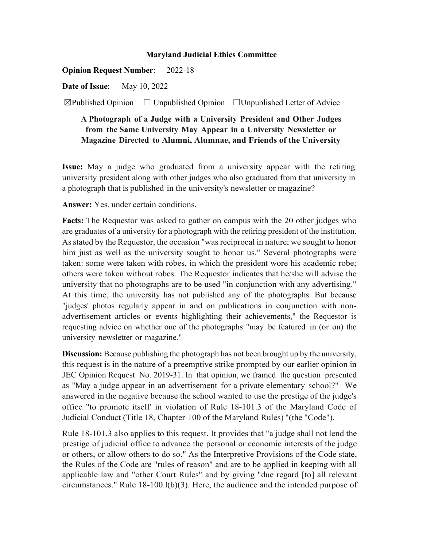## **Maryland Judicial Ethics Committee**

**Opinion Request Number**: 2022-18

**Date of Issue**: May 10, 2022

 $\boxtimes$ Published Opinion  $\Box$  Unpublished Opinion  $\Box$  Unpublished Letter of Advice

## **A Photograph of a Judge with a University President and Other Judges from the Same University May Appear in a University Newsletter or Magazine Directed to Alumni, Alumnae, and Friends of the University**

**Issue:** May a judge who graduated from a university appear with the retiring university president along with other judges who also graduated from that university in a photograph that is published in the university's newsletter or magazine?

**Answer:** Yes, under certain conditions.

**Facts:** The Requestor was asked to gather on campus with the 20 other judges who are graduates of a university for a photograph with the retiring president of the institution. Asstated by the Requestor, the occasion "was reciprocal in nature; we sought to honor him just as well as the university sought to honor us." Several photographs were taken: some were taken with robes, in which the president wore his academic robe; others were taken without robes. The Requestor indicates that he/she will advise the university that no photographs are to be used "in conjunction with any advertising." At this time, the university has not published any of the photographs. But because "judges' photos regularly appear in and on publications in conjunction with nonadvertisement articles or events highlighting their achievements," the Requestor is requesting advice on whether one of the photographs "may be featured in (or on) the university newsletter or magazine."

**Discussion:** Because publishing the photograph has not been brought up by the university, this request is in the nature of a preemptive strike prompted by our earlier opinion in JEC Opinion Request No. 2019-31. In that opinion, we framed the question presented as "May a judge appear in an advertisement for a private elementary school?" We answered in the negative because the school wanted to use the prestige of the judge's office "to promote itself' in violation of Rule 18-101.3 of the Maryland Code of Judicial Conduct (Title 18, Chapter 100 of the Maryland Rules) "(the "Code").

Rule 18-101.3 also applies to this request. It provides that "a judge shall not lend the prestige of judicial office to advance the personal or economic interests of the judge or others, or allow others to do so." As the Interpretive Provisions of the Code state, the Rules of the Code are "rules of reason" and are to be applied in keeping with all applicable law and "other Court Rules" and by giving "due regard [to] all relevant circumstances." Rule 18-100.l(b)(3). Here, the audience and the intended purpose of